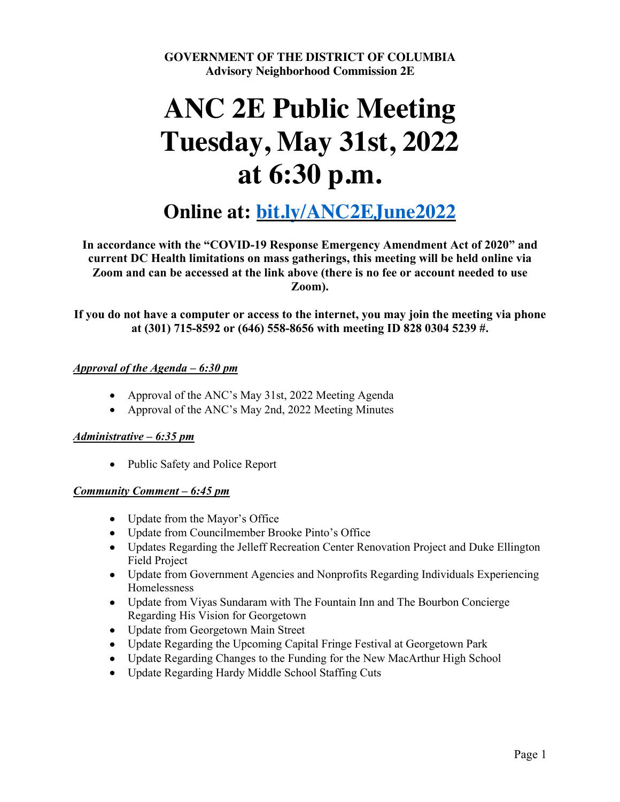**GOVERNMENT OF THE DISTRICT OF COLUMBIA Advisory Neighborhood Commission 2E**

# **ANC 2E Public Meeting Tuesday, May 31st, 2022 at 6:30 p.m.**

# **Online at: bit.ly/ANC2EJune2022**

**In accordance with the "COVID-19 Response Emergency Amendment Act of 2020" and current DC Health limitations on mass gatherings, this meeting will be held online via Zoom and can be accessed at the link above (there is no fee or account needed to use Zoom).**

**If you do not have a computer or access to the internet, you may join the meeting via phone at (301) 715-8592 or (646) 558-8656 with meeting ID 828 0304 5239 #.**

#### *Approval of the Agenda – 6:30 pm*

- Approval of the ANC's May 31st, 2022 Meeting Agenda
- Approval of the ANC's May 2nd, 2022 Meeting Minutes

#### *Administrative – 6:35 pm*

• Public Safety and Police Report

#### *Community Comment – 6:45 pm*

- Update from the Mayor's Office
- Update from Councilmember Brooke Pinto's Office
- Updates Regarding the Jelleff Recreation Center Renovation Project and Duke Ellington Field Project
- Update from Government Agencies and Nonprofits Regarding Individuals Experiencing Homelessness
- Update from Viyas Sundaram with The Fountain Inn and The Bourbon Concierge Regarding His Vision for Georgetown
- Update from Georgetown Main Street
- Update Regarding the Upcoming Capital Fringe Festival at Georgetown Park
- Update Regarding Changes to the Funding for the New MacArthur High School
- Update Regarding Hardy Middle School Staffing Cuts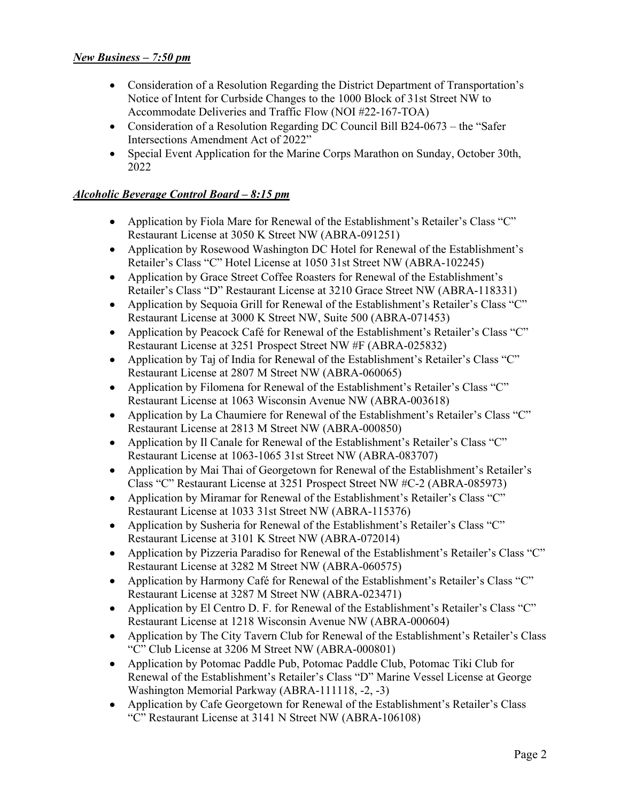#### *New Business – 7:50 pm*

- Consideration of a Resolution Regarding the District Department of Transportation's Notice of Intent for Curbside Changes to the 1000 Block of 31st Street NW to Accommodate Deliveries and Traffic Flow (NOI #22-167-TOA)
- Consideration of a Resolution Regarding DC Council Bill B24-0673 the "Safer" Intersections Amendment Act of 2022"
- Special Event Application for the Marine Corps Marathon on Sunday, October 30th, 2022

#### *Alcoholic Beverage Control Board – 8:15 pm*

- Application by Fiola Mare for Renewal of the Establishment's Retailer's Class "C" Restaurant License at 3050 K Street NW (ABRA-091251)
- Application by Rosewood Washington DC Hotel for Renewal of the Establishment's Retailer's Class "C" Hotel License at 1050 31st Street NW (ABRA-102245)
- Application by Grace Street Coffee Roasters for Renewal of the Establishment's Retailer's Class "D" Restaurant License at 3210 Grace Street NW (ABRA-118331)
- Application by Sequoia Grill for Renewal of the Establishment's Retailer's Class "C" Restaurant License at 3000 K Street NW, Suite 500 (ABRA-071453)
- Application by Peacock Café for Renewal of the Establishment's Retailer's Class "C" Restaurant License at 3251 Prospect Street NW #F (ABRA-025832)
- Application by Taj of India for Renewal of the Establishment's Retailer's Class "C" Restaurant License at 2807 M Street NW (ABRA-060065)
- Application by Filomena for Renewal of the Establishment's Retailer's Class "C" Restaurant License at 1063 Wisconsin Avenue NW (ABRA-003618)
- Application by La Chaumiere for Renewal of the Establishment's Retailer's Class "C" Restaurant License at 2813 M Street NW (ABRA-000850)
- Application by Il Canale for Renewal of the Establishment's Retailer's Class "C" Restaurant License at 1063-1065 31st Street NW (ABRA-083707)
- Application by Mai Thai of Georgetown for Renewal of the Establishment's Retailer's Class "C" Restaurant License at 3251 Prospect Street NW #C-2 (ABRA-085973)
- Application by Miramar for Renewal of the Establishment's Retailer's Class "C" Restaurant License at 1033 31st Street NW (ABRA-115376)
- Application by Susheria for Renewal of the Establishment's Retailer's Class "C" Restaurant License at 3101 K Street NW (ABRA-072014)
- Application by Pizzeria Paradiso for Renewal of the Establishment's Retailer's Class "C" Restaurant License at 3282 M Street NW (ABRA-060575)
- Application by Harmony Café for Renewal of the Establishment's Retailer's Class "C" Restaurant License at 3287 M Street NW (ABRA-023471)
- Application by El Centro D. F. for Renewal of the Establishment's Retailer's Class "C" Restaurant License at 1218 Wisconsin Avenue NW (ABRA-000604)
- Application by The City Tavern Club for Renewal of the Establishment's Retailer's Class "C" Club License at 3206 M Street NW (ABRA-000801)
- Application by Potomac Paddle Pub, Potomac Paddle Club, Potomac Tiki Club for Renewal of the Establishment's Retailer's Class "D" Marine Vessel License at George Washington Memorial Parkway (ABRA-111118, -2, -3)
- Application by Cafe Georgetown for Renewal of the Establishment's Retailer's Class "C" Restaurant License at 3141 N Street NW (ABRA-106108)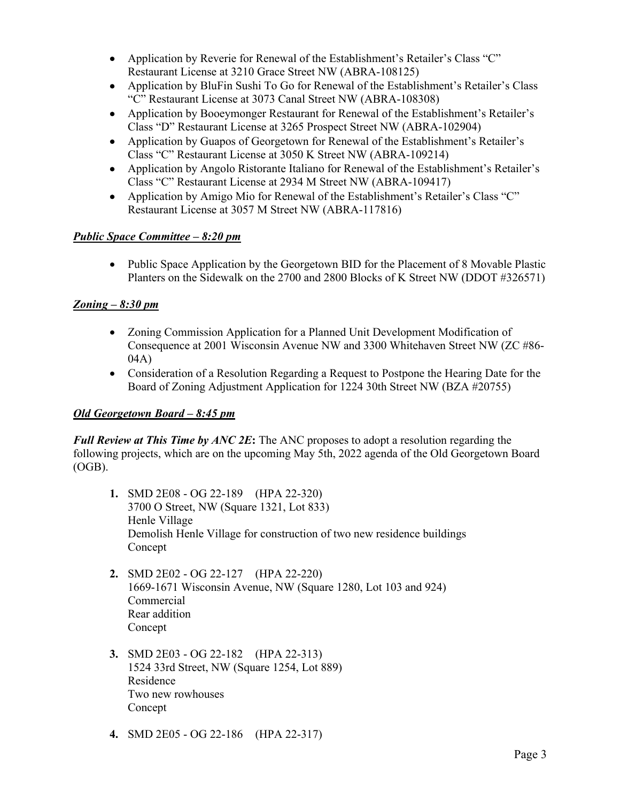- Application by Reverie for Renewal of the Establishment's Retailer's Class "C" Restaurant License at 3210 Grace Street NW (ABRA-108125)
- Application by BluFin Sushi To Go for Renewal of the Establishment's Retailer's Class "C" Restaurant License at 3073 Canal Street NW (ABRA-108308)
- Application by Booeymonger Restaurant for Renewal of the Establishment's Retailer's Class "D" Restaurant License at 3265 Prospect Street NW (ABRA-102904)
- Application by Guapos of Georgetown for Renewal of the Establishment's Retailer's Class "C" Restaurant License at 3050 K Street NW (ABRA-109214)
- Application by Angolo Ristorante Italiano for Renewal of the Establishment's Retailer's Class "C" Restaurant License at 2934 M Street NW (ABRA-109417)
- Application by Amigo Mio for Renewal of the Establishment's Retailer's Class "C" Restaurant License at 3057 M Street NW (ABRA-117816)

# *Public Space Committee – 8:20 pm*

• Public Space Application by the Georgetown BID for the Placement of 8 Movable Plastic Planters on the Sidewalk on the 2700 and 2800 Blocks of K Street NW (DDOT #326571)

# *Zoning – 8:30 pm*

- Zoning Commission Application for a Planned Unit Development Modification of Consequence at 2001 Wisconsin Avenue NW and 3300 Whitehaven Street NW (ZC #86- 04A)
- Consideration of a Resolution Regarding a Request to Postpone the Hearing Date for the Board of Zoning Adjustment Application for 1224 30th Street NW (BZA #20755)

# *Old Georgetown Board – 8:45 pm*

*Full Review at This Time by ANC 2E*: The ANC proposes to adopt a resolution regarding the following projects, which are on the upcoming May 5th, 2022 agenda of the Old Georgetown Board (OGB).

- **1.** SMD 2E08 OG 22-189 (HPA 22-320) 3700 O Street, NW (Square 1321, Lot 833) Henle Village Demolish Henle Village for construction of two new residence buildings Concept
- **2.** SMD 2E02 OG 22-127 (HPA 22-220) 1669-1671 Wisconsin Avenue, NW (Square 1280, Lot 103 and 924) Commercial Rear addition Concept
- **3.** SMD 2E03 OG 22-182 (HPA 22-313) 1524 33rd Street, NW (Square 1254, Lot 889) Residence Two new rowhouses Concept
- **4.** SMD 2E05 OG 22-186 (HPA 22-317)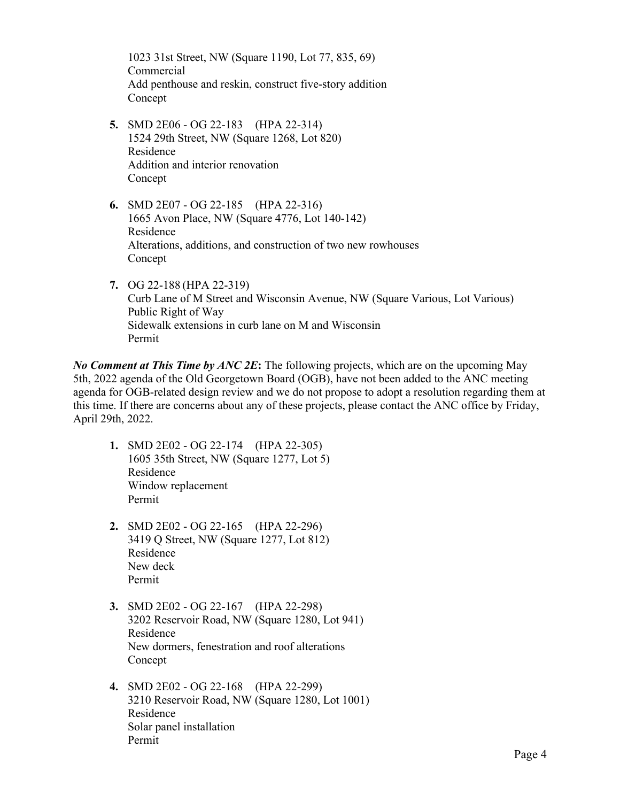1023 31st Street, NW (Square 1190, Lot 77, 835, 69) Commercial Add penthouse and reskin, construct five-story addition Concept

- **5.** SMD 2E06 OG 22-183 (HPA 22-314) 1524 29th Street, NW (Square 1268, Lot 820) Residence Addition and interior renovation Concept
- **6.** SMD 2E07 OG 22-185 (HPA 22-316) 1665 Avon Place, NW (Square 4776, Lot 140-142) Residence Alterations, additions, and construction of two new rowhouses Concept
- **7.** OG 22-188 (HPA 22-319) Curb Lane of M Street and Wisconsin Avenue, NW (Square Various, Lot Various) Public Right of Way Sidewalk extensions in curb lane on M and Wisconsin Permit

*No Comment at This Time by ANC 2E***:** The following projects, which are on the upcoming May 5th, 2022 agenda of the Old Georgetown Board (OGB), have not been added to the ANC meeting agenda for OGB-related design review and we do not propose to adopt a resolution regarding them at this time. If there are concerns about any of these projects, please contact the ANC office by Friday, April 29th, 2022.

- **1.** SMD 2E02 OG 22-174 (HPA 22-305) 1605 35th Street, NW (Square 1277, Lot 5) Residence Window replacement Permit
- **2.** SMD 2E02 OG 22-165 (HPA 22-296) 3419 Q Street, NW (Square 1277, Lot 812) Residence New deck Permit
- **3.** SMD 2E02 OG 22-167 (HPA 22-298) 3202 Reservoir Road, NW (Square 1280, Lot 941) Residence New dormers, fenestration and roof alterations Concept
- **4.** SMD 2E02 OG 22-168 (HPA 22-299) 3210 Reservoir Road, NW (Square 1280, Lot 1001) Residence Solar panel installation Permit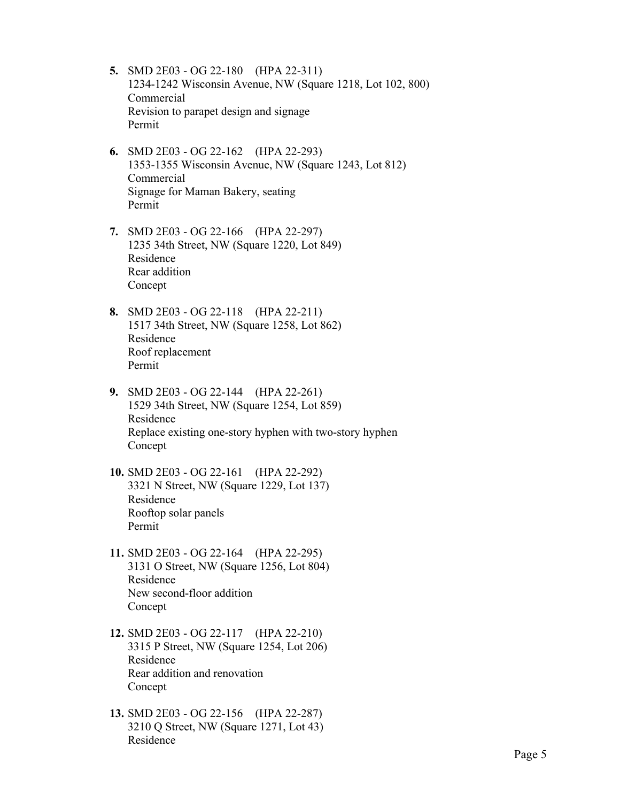- **5.** SMD 2E03 OG 22-180 (HPA 22-311) 1234-1242 Wisconsin Avenue, NW (Square 1218, Lot 102, 800) Commercial Revision to parapet design and signage Permit
- **6.** SMD 2E03 OG 22-162 (HPA 22-293) 1353-1355 Wisconsin Avenue, NW (Square 1243, Lot 812) Commercial Signage for Maman Bakery, seating Permit
- **7.** SMD 2E03 OG 22-166 (HPA 22-297) 1235 34th Street, NW (Square 1220, Lot 849) Residence Rear addition Concept
- **8.** SMD 2E03 OG 22-118 (HPA 22-211) 1517 34th Street, NW (Square 1258, Lot 862) Residence Roof replacement Permit
- **9.** SMD 2E03 OG 22-144 (HPA 22-261) 1529 34th Street, NW (Square 1254, Lot 859) Residence Replace existing one-story hyphen with two-story hyphen Concept
- **10.** SMD 2E03 OG 22-161 (HPA 22-292) 3321 N Street, NW (Square 1229, Lot 137) Residence Rooftop solar panels Permit
- **11.** SMD 2E03 OG 22-164 (HPA 22-295) 3131 O Street, NW (Square 1256, Lot 804) Residence New second-floor addition Concept
- **12.** SMD 2E03 OG 22-117 (HPA 22-210) 3315 P Street, NW (Square 1254, Lot 206) Residence Rear addition and renovation Concept
- **13.** SMD 2E03 OG 22-156 (HPA 22-287) 3210 Q Street, NW (Square 1271, Lot 43) Residence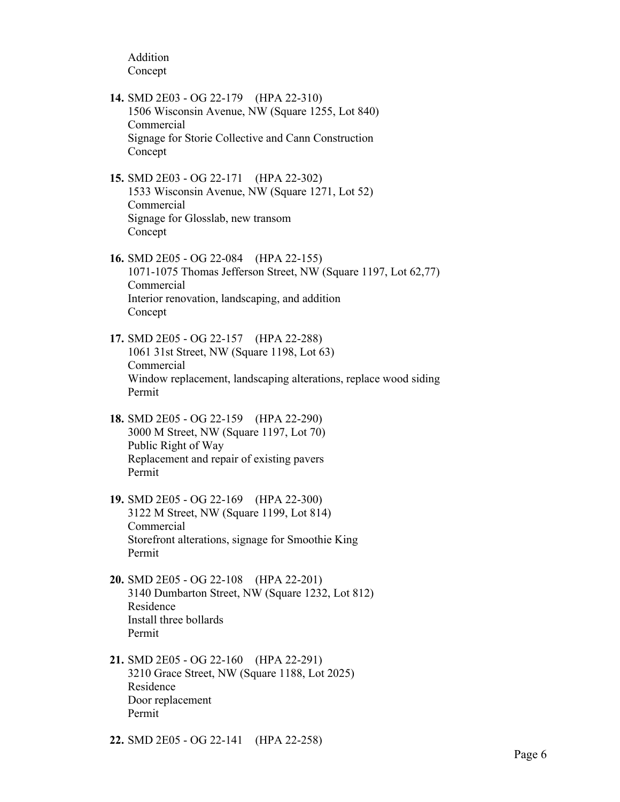Addition Concept

- **14.** SMD 2E03 OG 22-179 (HPA 22-310) 1506 Wisconsin Avenue, NW (Square 1255, Lot 840) Commercial Signage for Storie Collective and Cann Construction Concept
- **15.** SMD 2E03 OG 22-171 (HPA 22-302) 1533 Wisconsin Avenue, NW (Square 1271, Lot 52) Commercial Signage for Glosslab, new transom Concept
- **16.** SMD 2E05 OG 22-084 (HPA 22-155) 1071-1075 Thomas Jefferson Street, NW (Square 1197, Lot 62,77) Commercial Interior renovation, landscaping, and addition Concept
- **17.** SMD 2E05 OG 22-157 (HPA 22-288) 1061 31st Street, NW (Square 1198, Lot 63) Commercial Window replacement, landscaping alterations, replace wood siding Permit
- **18.** SMD 2E05 OG 22-159 (HPA 22-290) 3000 M Street, NW (Square 1197, Lot 70) Public Right of Way Replacement and repair of existing pavers Permit
- **19.** SMD 2E05 OG 22-169 (HPA 22-300) 3122 M Street, NW (Square 1199, Lot 814) Commercial Storefront alterations, signage for Smoothie King Permit
- **20.** SMD 2E05 OG 22-108 (HPA 22-201) 3140 Dumbarton Street, NW (Square 1232, Lot 812) Residence Install three bollards Permit
- **21.** SMD 2E05 OG 22-160 (HPA 22-291) 3210 Grace Street, NW (Square 1188, Lot 2025) Residence Door replacement Permit
- **22.** SMD 2E05 OG 22-141 (HPA 22-258)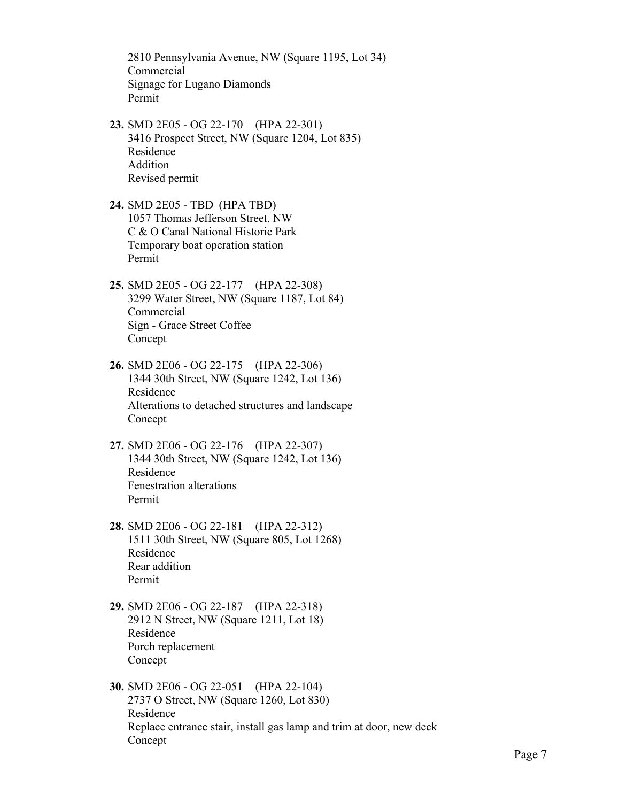2810 Pennsylvania Avenue, NW (Square 1195, Lot 34) Commercial Signage for Lugano Diamonds Permit

- **23.** SMD 2E05 OG 22-170 (HPA 22-301) 3416 Prospect Street, NW (Square 1204, Lot 835) Residence Addition Revised permit
- **24.** SMD 2E05 TBD (HPA TBD) 1057 Thomas Jefferson Street, NW C & O Canal National Historic Park Temporary boat operation station Permit
- **25.** SMD 2E05 OG 22-177 (HPA 22-308) 3299 Water Street, NW (Square 1187, Lot 84) Commercial Sign - Grace Street Coffee Concept
- **26.** SMD 2E06 OG 22-175 (HPA 22-306) 1344 30th Street, NW (Square 1242, Lot 136) Residence Alterations to detached structures and landscape Concept
- **27.** SMD 2E06 OG 22-176 (HPA 22-307) 1344 30th Street, NW (Square 1242, Lot 136) Residence Fenestration alterations Permit
- **28.** SMD 2E06 OG 22-181 (HPA 22-312) 1511 30th Street, NW (Square 805, Lot 1268) Residence Rear addition Permit
- **29.** SMD 2E06 OG 22-187 (HPA 22-318) 2912 N Street, NW (Square 1211, Lot 18) Residence Porch replacement Concept
- **30.** SMD 2E06 OG 22-051 (HPA 22-104) 2737 O Street, NW (Square 1260, Lot 830) Residence Replace entrance stair, install gas lamp and trim at door, new deck Concept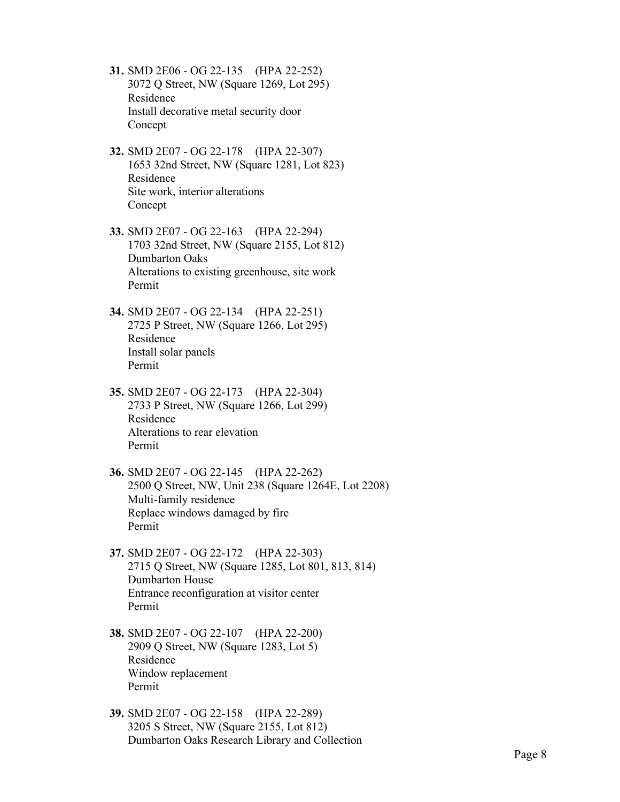- **31.** SMD 2E06 OG 22-135 (HPA 22-252) 3072 Q Street, NW (Square 1269, Lot 295) Residence Install decorative metal security door Concept
- **32.** SMD 2E07 OG 22-178 (HPA 22-307) 1653 32nd Street, NW (Square 1281, Lot 823) Residence Site work, interior alterations Concept
- **33.** SMD 2E07 OG 22-163 (HPA 22-294) 1703 32nd Street, NW (Square 2155, Lot 812) Dumbarton Oaks Alterations to existing greenhouse, site work Permit
- **34.** SMD 2E07 OG 22-134 (HPA 22-251) 2725 P Street, NW (Square 1266, Lot 295) Residence Install solar panels Permit
- **35.** SMD 2E07 OG 22-173 (HPA 22-304) 2733 P Street, NW (Square 1266, Lot 299) Residence Alterations to rear elevation Permit
- **36.** SMD 2E07 OG 22-145 (HPA 22-262) 2500 Q Street, NW, Unit 238 (Square 1264E, Lot 2208) Multi-family residence Replace windows damaged by fire Permit
- **37.** SMD 2E07 OG 22-172 (HPA 22-303) 2715 Q Street, NW (Square 1285, Lot 801, 813, 814) Dumbarton House Entrance reconfiguration at visitor center Permit
- **38.** SMD 2E07 OG 22-107 (HPA 22-200) 2909 Q Street, NW (Square 1283, Lot 5) Residence Window replacement Permit
- **39.** SMD 2E07 OG 22-158 (HPA 22-289) 3205 S Street, NW (Square 2155, Lot 812) Dumbarton Oaks Research Library and Collection